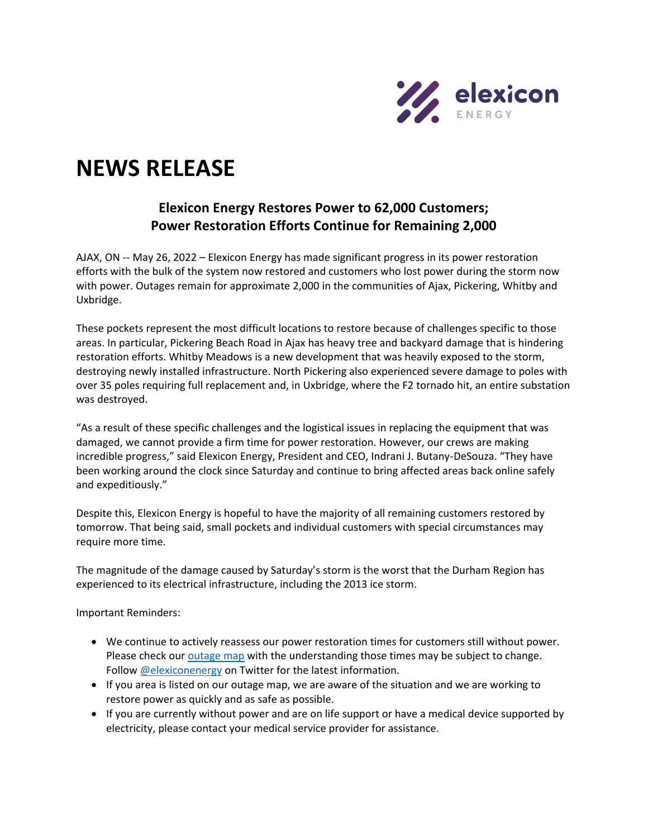

## **NEWS RELEASE**

## **Elexicon Energy Restores Power to 62,000 Customers; Power Restoration Efforts Continue for Remaining 2,000**

AJAX, ON -- May 26, 2022 – Elexicon Energy has made significant progress in its power restoration efforts with the bulk of the system now restored and customers who lost power during the storm now with power. Outages remain for approximate 2,000 in the communities of Ajax, Pickering, Whitby and Uxbridge.

These pockets represent the most difficult locations to restore because of challenges specific to those areas. In particular, Pickering Beach Road in Ajax has heavy tree and backyard damage that is hindering restoration efforts. Whitby Meadows is a new development that was heavily exposed to the storm, destroying newly installed infrastructure. North Pickering also experienced severe damage to poles with over 35 poles requiring full replacement and, in Uxbridge, where the F2 tornado hit, an entire substation was destroyed.

"As a result of these specific challenges and the logistical issues in replacing the equipment that was damaged, we cannot provide a firm time for power restoration. However, our crews are making incredible progress," said Elexicon Energy, President and CEO, Indrani J. Butany-DeSouza. "They have been working around the clock since Saturday and continue to bring affected areas back online safely and expeditiously."

Despite this, Elexicon Energy is hopeful to have the majority of all remaining customers restored by tomorrow. That being said, small pockets and individual customers with special circumstances may require more time.

The magnitude of the damage caused by Saturday's storm is the worst that the Durham Region has experienced to its electrical infrastructure, including the 2013 ice storm.

Important Reminders:

- We continue to actively reassess our power restoration times for customers still without power. Please check ou[r outage map](https://elexiconenergy.com/outages) with the understanding those times may be subject to change. Follow [@elexiconenergy](https://twitter.com/ElexiconEnergy) on Twitter for the latest information.
- If you area is listed on our outage map, we are aware of the situation and we are working to restore power as quickly and as safe as possible.
- If you are currently without power and are on life support or have a medical device supported by electricity, please contact your medical service provider for assistance.